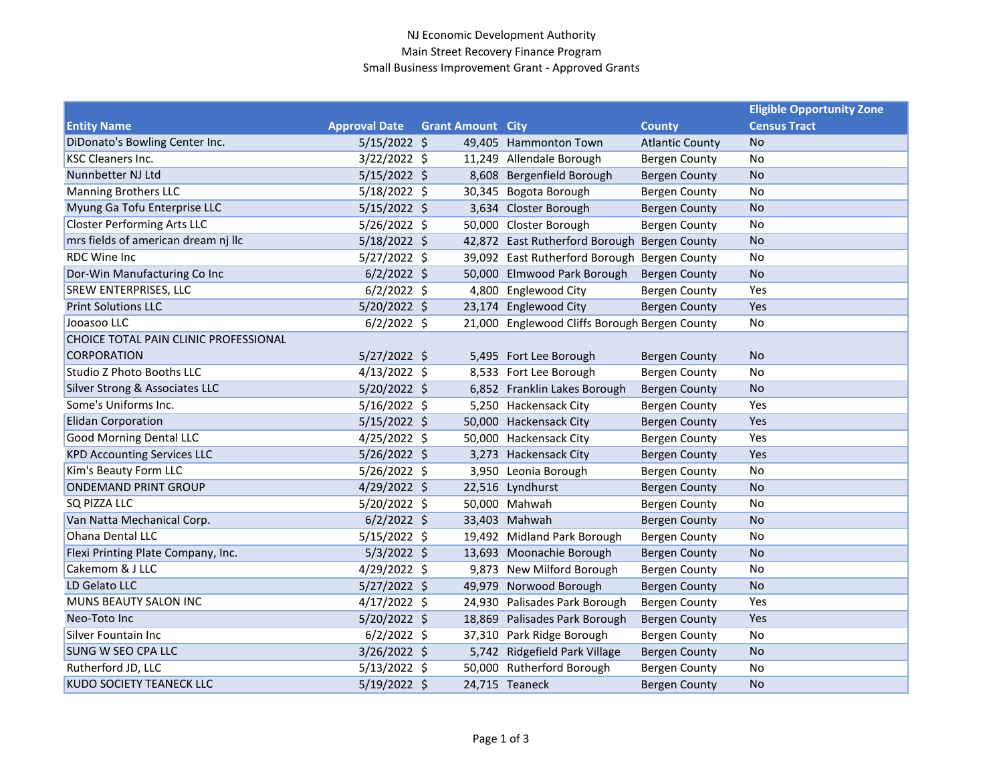## NJ Economic Development Authority Main Street Recovery Finance Program Small Business Improvement Grant - Approved Grants

|                                       |                      |                          |                                               |                        | <b>Eligible Opportunity Zone</b> |
|---------------------------------------|----------------------|--------------------------|-----------------------------------------------|------------------------|----------------------------------|
| <b>Entity Name</b>                    | <b>Approval Date</b> | <b>Grant Amount City</b> |                                               | <b>County</b>          | <b>Census Tract</b>              |
| DiDonato's Bowling Center Inc.        | $5/15/2022$ \$       |                          | 49,405 Hammonton Town                         | <b>Atlantic County</b> | No                               |
| <b>KSC Cleaners Inc.</b>              | $3/22/2022$ \$       |                          | 11,249 Allendale Borough                      | <b>Bergen County</b>   | No                               |
| Nunnbetter NJ Ltd                     | $5/15/2022$ \$       |                          | 8,608 Bergenfield Borough                     | <b>Bergen County</b>   | <b>No</b>                        |
| <b>Manning Brothers LLC</b>           | $5/18/2022$ \$       |                          | 30,345 Bogota Borough                         | <b>Bergen County</b>   | No                               |
| Myung Ga Tofu Enterprise LLC          | $5/15/2022$ \$       |                          | 3,634 Closter Borough                         | <b>Bergen County</b>   | <b>No</b>                        |
| <b>Closter Performing Arts LLC</b>    | 5/26/2022 \$         |                          | 50,000 Closter Borough                        | <b>Bergen County</b>   | No                               |
| mrs fields of american dream nj llc   | 5/18/2022 \$         |                          | 42,872 East Rutherford Borough Bergen County  |                        | <b>No</b>                        |
| <b>RDC Wine Inc.</b>                  | 5/27/2022 \$         |                          | 39,092 East Rutherford Borough Bergen County  |                        | No                               |
| Dor-Win Manufacturing Co Inc          | $6/2/2022$ \$        |                          | 50,000 Elmwood Park Borough                   | <b>Bergen County</b>   | <b>No</b>                        |
| SREW ENTERPRISES, LLC                 | $6/2/2022$ \$        |                          | 4,800 Englewood City                          | <b>Bergen County</b>   | Yes                              |
| <b>Print Solutions LLC</b>            | $5/20/2022$ \$       |                          | 23,174 Englewood City                         | <b>Bergen County</b>   | Yes                              |
| Jooasoo LLC                           | $6/2/2022$ \$        |                          | 21,000 Englewood Cliffs Borough Bergen County |                        | No                               |
| CHOICE TOTAL PAIN CLINIC PROFESSIONAL |                      |                          |                                               |                        |                                  |
| <b>CORPORATION</b>                    | $5/27/2022$ \$       |                          | 5,495 Fort Lee Borough                        | <b>Bergen County</b>   | <b>No</b>                        |
| Studio Z Photo Booths LLC             | $4/13/2022$ \$       |                          | 8,533 Fort Lee Borough                        | <b>Bergen County</b>   | No                               |
| Silver Strong & Associates LLC        | $5/20/2022$ \$       |                          | 6,852 Franklin Lakes Borough                  | <b>Bergen County</b>   | <b>No</b>                        |
| Some's Uniforms Inc.                  | $5/16/2022$ \$       |                          | 5,250 Hackensack City                         | <b>Bergen County</b>   | Yes                              |
| <b>Elidan Corporation</b>             | $5/15/2022$ \$       |                          | 50,000 Hackensack City                        | <b>Bergen County</b>   | Yes                              |
| <b>Good Morning Dental LLC</b>        | $4/25/2022$ \$       |                          | 50,000 Hackensack City                        | <b>Bergen County</b>   | Yes                              |
| <b>KPD Accounting Services LLC</b>    | 5/26/2022 \$         |                          | 3,273 Hackensack City                         | <b>Bergen County</b>   | Yes                              |
| Kim's Beauty Form LLC                 | $5/26/2022$ \$       |                          | 3,950 Leonia Borough                          | <b>Bergen County</b>   | No                               |
| <b>ONDEMAND PRINT GROUP</b>           | 4/29/2022 \$         |                          | 22,516 Lyndhurst                              | <b>Bergen County</b>   | <b>No</b>                        |
| SQ PIZZA LLC                          | $5/20/2022$ \$       |                          | 50,000 Mahwah                                 | <b>Bergen County</b>   | No                               |
| Van Natta Mechanical Corp.            | $6/2/2022$ \$        |                          | 33,403 Mahwah                                 | <b>Bergen County</b>   | <b>No</b>                        |
| Ohana Dental LLC                      | $5/15/2022$ \$       |                          | 19,492 Midland Park Borough                   | <b>Bergen County</b>   | No                               |
| Flexi Printing Plate Company, Inc.    | $5/3/2022$ \$        |                          | 13,693 Moonachie Borough                      | <b>Bergen County</b>   | <b>No</b>                        |
| Cakemom & J LLC                       | $4/29/2022$ \$       |                          | 9,873 New Milford Borough                     | <b>Bergen County</b>   | No                               |
| LD Gelato LLC                         | $5/27/2022$ \$       |                          | 49,979 Norwood Borough                        | <b>Bergen County</b>   | <b>No</b>                        |
| MUNS BEAUTY SALON INC                 | $4/17/2022$ \$       |                          | 24,930 Palisades Park Borough                 | <b>Bergen County</b>   | Yes                              |
| Neo-Toto Inc                          | 5/20/2022 \$         |                          | 18,869 Palisades Park Borough                 | <b>Bergen County</b>   | Yes                              |
| <b>Silver Fountain Inc</b>            | $6/2/2022$ \$        |                          | 37,310 Park Ridge Borough                     | <b>Bergen County</b>   | No                               |
| SUNG W SEO CPA LLC                    | 3/26/2022 \$         |                          | 5,742 Ridgefield Park Village                 | <b>Bergen County</b>   | <b>No</b>                        |
| Rutherford JD, LLC                    | $5/13/2022$ \$       |                          | 50,000 Rutherford Borough                     | <b>Bergen County</b>   | No                               |
| KUDO SOCIETY TEANECK LLC              | 5/19/2022 \$         |                          | 24,715 Teaneck                                | <b>Bergen County</b>   | <b>No</b>                        |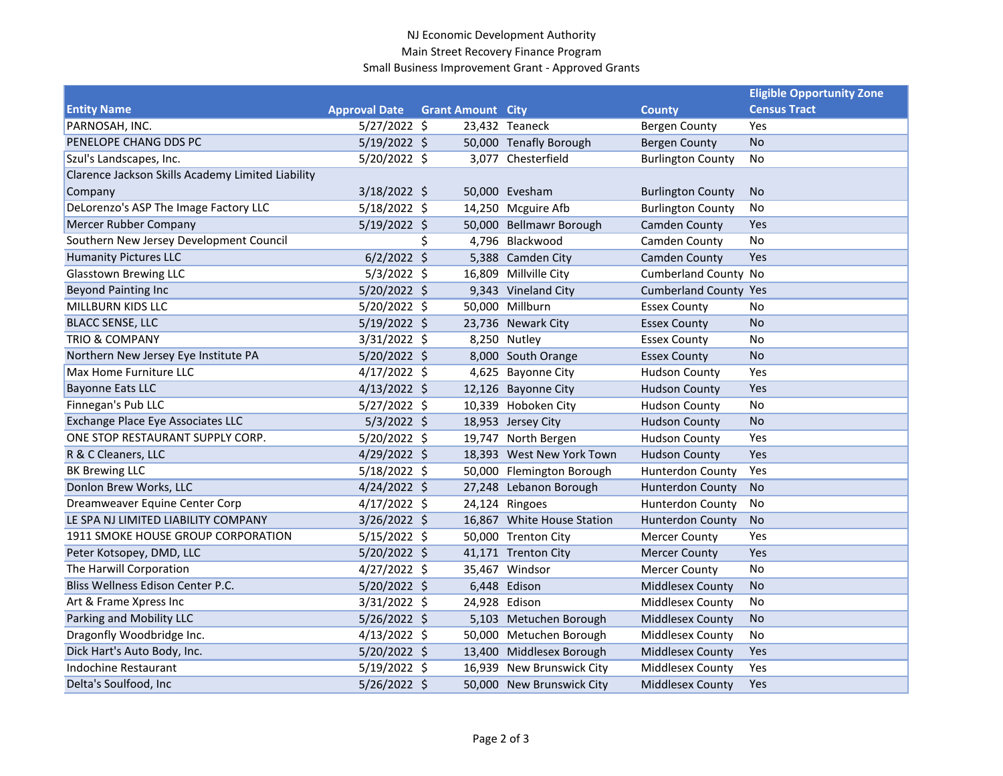## NJ Economic Development Authority Main Street Recovery Finance Program Small Business Improvement Grant - Approved Grants

|                                                   |                      |                          |                            |                              | <b>Eligible Opportunity Zone</b> |
|---------------------------------------------------|----------------------|--------------------------|----------------------------|------------------------------|----------------------------------|
| <b>Entity Name</b>                                | <b>Approval Date</b> | <b>Grant Amount City</b> |                            | <b>County</b>                | <b>Census Tract</b>              |
| PARNOSAH, INC.                                    | $5/27/2022$ \$       |                          | 23,432 Teaneck             | <b>Bergen County</b>         | Yes                              |
| PENELOPE CHANG DDS PC                             | $5/19/2022$ \$       |                          | 50,000 Tenafly Borough     | <b>Bergen County</b>         | <b>No</b>                        |
| Szul's Landscapes, Inc.                           | $5/20/2022$ \$       |                          | 3,077 Chesterfield         | <b>Burlington County</b>     | No                               |
| Clarence Jackson Skills Academy Limited Liability |                      |                          |                            |                              |                                  |
| Company                                           | $3/18/2022$ \$       |                          | 50,000 Evesham             | <b>Burlington County</b>     | No                               |
| DeLorenzo's ASP The Image Factory LLC             | $5/18/2022$ \$       |                          | 14,250 Mcguire Afb         | <b>Burlington County</b>     | No                               |
| Mercer Rubber Company                             | $5/19/2022$ \$       |                          | 50,000 Bellmawr Borough    | <b>Camden County</b>         | Yes                              |
| Southern New Jersey Development Council           |                      |                          | 4,796 Blackwood            | Camden County                | No                               |
| <b>Humanity Pictures LLC</b>                      | $6/2/2022$ \$        |                          | 5,388 Camden City          | Camden County                | Yes                              |
| <b>Glasstown Brewing LLC</b>                      | $5/3/2022$ \$        |                          | 16,809 Millville City      | <b>Cumberland County No</b>  |                                  |
| <b>Beyond Painting Inc</b>                        | 5/20/2022 \$         |                          | 9,343 Vineland City        | <b>Cumberland County Yes</b> |                                  |
| MILLBURN KIDS LLC                                 | $5/20/2022$ \$       |                          | 50,000 Millburn            | <b>Essex County</b>          | No                               |
| <b>BLACC SENSE, LLC</b>                           | $5/19/2022$ \$       |                          | 23,736 Newark City         | <b>Essex County</b>          | <b>No</b>                        |
| <b>TRIO &amp; COMPANY</b>                         | $3/31/2022$ \$       |                          | 8,250 Nutley               | <b>Essex County</b>          | No                               |
| Northern New Jersey Eye Institute PA              | $5/20/2022$ \$       |                          | 8,000 South Orange         | <b>Essex County</b>          | <b>No</b>                        |
| Max Home Furniture LLC                            | $4/17/2022$ \$       |                          | 4,625 Bayonne City         | <b>Hudson County</b>         | Yes                              |
| <b>Bayonne Eats LLC</b>                           | $4/13/2022$ \$       |                          | 12,126 Bayonne City        | <b>Hudson County</b>         | Yes                              |
| Finnegan's Pub LLC                                | $5/27/2022$ \$       |                          | 10,339 Hoboken City        | <b>Hudson County</b>         | No                               |
| Exchange Place Eye Associates LLC                 | $5/3/2022$ \$        |                          | 18,953 Jersey City         | <b>Hudson County</b>         | <b>No</b>                        |
| ONE STOP RESTAURANT SUPPLY CORP.                  | $5/20/2022$ \$       |                          | 19,747 North Bergen        | <b>Hudson County</b>         | Yes                              |
| R & C Cleaners, LLC                               | $4/29/2022$ \$       |                          | 18,393 West New York Town  | <b>Hudson County</b>         | Yes                              |
| <b>BK Brewing LLC</b>                             | $5/18/2022$ \$       |                          | 50,000 Flemington Borough  | <b>Hunterdon County</b>      | Yes                              |
| Donlon Brew Works, LLC                            | $4/24/2022$ \$       |                          | 27,248 Lebanon Borough     | <b>Hunterdon County</b>      | No                               |
| Dreamweaver Equine Center Corp                    | $4/17/2022$ \$       |                          | 24,124 Ringoes             | <b>Hunterdon County</b>      | No                               |
| LE SPA NJ LIMITED LIABILITY COMPANY               | $3/26/2022$ \$       |                          | 16,867 White House Station | <b>Hunterdon County</b>      | No                               |
| 1911 SMOKE HOUSE GROUP CORPORATION                | $5/15/2022$ \$       |                          | 50,000 Trenton City        | <b>Mercer County</b>         | Yes                              |
| Peter Kotsopey, DMD, LLC                          | $5/20/2022$ \$       |                          | 41,171 Trenton City        | <b>Mercer County</b>         | Yes                              |
| The Harwill Corporation                           | $4/27/2022$ \$       |                          | 35,467 Windsor             | <b>Mercer County</b>         | No                               |
| Bliss Wellness Edison Center P.C.                 | 5/20/2022 \$         |                          | 6,448 Edison               | <b>Middlesex County</b>      | <b>No</b>                        |
| Art & Frame Xpress Inc                            | 3/31/2022 \$         | 24,928 Edison            |                            | Middlesex County             | No                               |
| Parking and Mobility LLC                          | $5/26/2022$ \$       |                          | 5,103 Metuchen Borough     | <b>Middlesex County</b>      | No                               |
| Dragonfly Woodbridge Inc.                         | $4/13/2022$ \$       |                          | 50,000 Metuchen Borough    | Middlesex County             | No                               |
| Dick Hart's Auto Body, Inc.                       | $5/20/2022$ \$       |                          | 13,400 Middlesex Borough   | Middlesex County             | Yes                              |
| Indochine Restaurant                              | $5/19/2022$ \$       |                          | 16,939 New Brunswick City  | Middlesex County             | Yes                              |
| Delta's Soulfood, Inc                             | $5/26/2022$ \$       |                          | 50,000 New Brunswick City  | Middlesex County             | Yes                              |